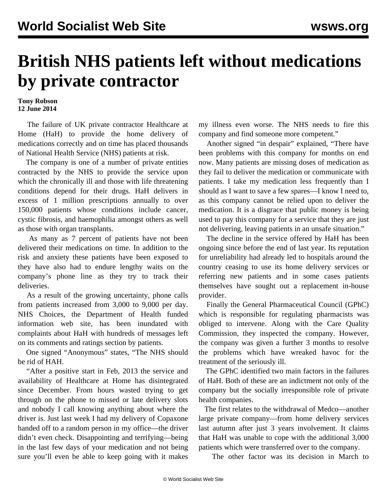## **British NHS patients left without medications by private contractor**

## **Tony Robson 12 June 2014**

 The failure of UK private contractor Healthcare at Home (HaH) to provide the home delivery of medications correctly and on time has placed thousands of National Health Service (NHS) patients at risk.

 The company is one of a number of private entities contracted by the NHS to provide the service upon which the chronically ill and those with life threatening conditions depend for their drugs. HaH delivers in excess of 1 million prescriptions annually to over 150,000 patients whose conditions include cancer, cystic fibrosis, and haemophilia amongst others as well as those with organ transplants.

 As many as 7 percent of patients have not been delivered their medications on time. In addition to the risk and anxiety these patients have been exposed to they have also had to endure lengthy waits on the company's phone line as they try to track their deliveries.

 As a result of the growing uncertainty, phone calls from patients increased from 3,000 to 9,000 per day. NHS Choices, the Department of Health funded information web site, has been inundated with complaints about HaH with hundreds of messages left on its comments and ratings section by patients.

 One signed "Anonymous" states, "The NHS should be rid of HAH.

 "After a positive start in Feb, 2013 the service and availability of Healthcare at Home has disintegrated since December. From hours wasted trying to get through on the phone to missed or late delivery slots and nobody I call knowing anything about where the driver is. Just last week I had my delivery of Copaxone handed off to a random person in my office—the driver didn't even check. Disappointing and terrifying—being in the last few days of your medication and not being sure you'll even be able to keep going with it makes

my illness even worse. The NHS needs to fire this company and find someone more competent."

 Another signed "in despair" explained, "There have been problems with this company for months on end now. Many patients are missing doses of medication as they fail to deliver the medication or communicate with patients. I take my medication less frequently than I should as I want to save a few spares—I know I need to, as this company cannot be relied upon to deliver the medication. It is a disgrace that public money is being used to pay this company for a service that they are just not delivering, leaving patients in an unsafe situation."

 The decline in the service offered by HaH has been ongoing since before the end of last year. Its reputation for unreliability had already led to hospitals around the country ceasing to use its home delivery services or referring new patients and in some cases patients themselves have sought out a replacement in-house provider.

 Finally the General Pharmaceutical Council (GPhC) which is responsible for regulating pharmacists was obliged to intervene. Along with the Care Quality Commission, they inspected the company. However, the company was given a further 3 months to resolve the problems which have wreaked havoc for the treatment of the seriously ill.

 The GPhC identified two main factors in the failures of HaH. Both of these are an indictment not only of the company but the socially irresponsible role of private health companies.

 The first relates to the withdrawal of Medco—another large private company—from home delivery services last autumn after just 3 years involvement. It claims that HaH was unable to cope with the additional 3,000 patients which were transferred over to the company.

The other factor was its decision in March to